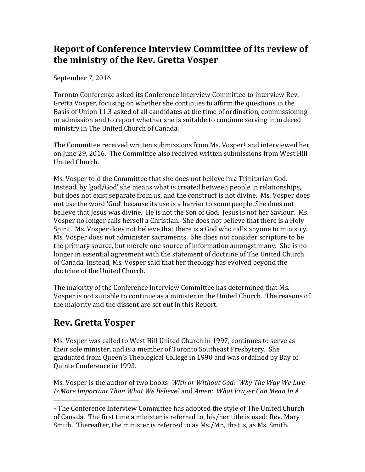# **Report of Conference Interview Committee of its review of the ministry of the Rev. Gretta Vosper**

September 7, 2016

Toronto Conference asked its Conference Interview Committee to interview Rev. Gretta Vosper, focusing on whether she continues to affirm the questions in the Basis of Union 11.3 asked of all candidates at the time of ordination, commissioning or admission and to report whether she is suitable to continue serving in ordered ministry in The United Church of Canada.

The Committee received written submissions from Ms. Vosper<sup>1</sup> and interviewed her on June 29, 2016. The Committee also received written submissions from West Hill United Church.

Ms. Vosper told the Committee that she does not believe in a Trinitarian God. Instead, by 'god/God' she means what is created between people in relationships, but does not exist separate from us, and the construct is not divine. Ms. Vosper does not use the word 'God' because its use is a barrier to some people. She does not believe that Jesus was divine. He is not the Son of God. Jesus is not her Saviour. Ms. Vosper no longer calls herself a Christian. She does not believe that there is a Holy Spirit. Ms. Vosper does not believe that there is a God who calls anyone to ministry. Ms. Vosper does not administer sacraments. She does not consider scripture to be the primary source, but merely one source of information amongst many. She is no longer in essential agreement with the statement of doctrine of The United Church of Canada. Instead, Ms. Vosper said that her theology has evolved beyond the doctrine of the United Church.

The majority of the Conference Interview Committee has determined that Ms. Vosper is not suitable to continue as a minister in the United Church. The reasons of the majority and the dissent are set out in this Report.

# **Rev. Gretta Vosper**

 $\overline{a}$ 

Ms. Vosper was called to West Hill United Church in 1997, continues to serve as their sole minister, and is a member of Toronto Southeast Presbytery. She graduated from Queen's Theological College in 1990 and was ordained by Bay of Quinte Conference in 1993.

Ms. Vosper is the author of two books: *With or Without God: Why The Way We Live Is More Important Than What We Believe<sup>2</sup>* and *Amen: What Prayer Can Mean In A* 

<sup>1</sup> The Conference Interview Committee has adopted the style of The United Church of Canada. The first time a minister is referred to, his/her title is used: Rev. Mary Smith. Thereafter, the minister is referred to as Ms./Mr., that is, as Ms. Smith.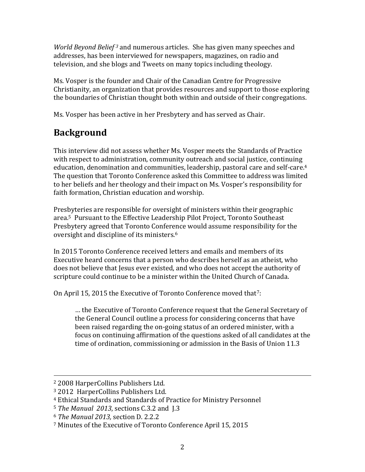*World Beyond Belief <sup>3</sup>* and numerous articles. She has given many speeches and addresses, has been interviewed for newspapers, magazines, on radio and television, and she blogs and Tweets on many topics including theology.

Ms. Vosper is the founder and Chair of the Canadian Centre for Progressive Christianity, an organization that provides resources and support to those exploring the boundaries of Christian thought both within and outside of their congregations.

Ms. Vosper has been active in her Presbytery and has served as Chair.

# **Background**

This interview did not assess whether Ms. Vosper meets the Standards of Practice with respect to administration, community outreach and social justice, continuing education, denomination and communities, leadership, pastoral care and self-care.<sup>4</sup> The question that Toronto Conference asked this Committee to address was limited to her beliefs and her theology and their impact on Ms. Vosper's responsibility for faith formation, Christian education and worship.

Presbyteries are responsible for oversight of ministers within their geographic area.5 Pursuant to the Effective Leadership Pilot Project, Toronto Southeast Presbytery agreed that Toronto Conference would assume responsibility for the oversight and discipline of its ministers.<sup>6</sup>

In 2015 Toronto Conference received letters and emails and members of its Executive heard concerns that a person who describes herself as an atheist, who does not believe that Jesus ever existed, and who does not accept the authority of scripture could continue to be a minister within the United Church of Canada.

On April 15, 2015 the Executive of Toronto Conference moved that<sup>7</sup>:

… the Executive of Toronto Conference request that the General Secretary of the General Council outline a process for considering concerns that have been raised regarding the on-going status of an ordered minister, with a focus on continuing affirmation of the questions asked of all candidates at the time of ordination, commissioning or admission in the Basis of Union 11.3

<sup>2</sup> 2008 HarperCollins Publishers Ltd.

<sup>3</sup> 2012 HarperCollins Publishers Ltd.

<sup>4</sup> Ethical Standards and Standards of Practice for Ministry Personnel

<sup>5</sup> *The Manual 2013*, sections C.3.2 and J.3

<sup>6</sup> *The Manual 2013,* section D. 2.2.2

<sup>7</sup> Minutes of the Executive of Toronto Conference April 15, 2015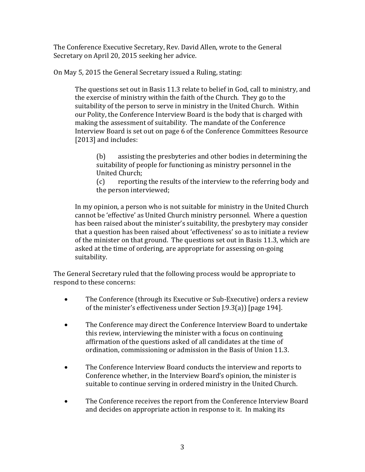The Conference Executive Secretary, Rev. David Allen, wrote to the General Secretary on April 20, 2015 seeking her advice.

On May 5, 2015 the General Secretary issued a Ruling, stating:

The questions set out in Basis 11.3 relate to belief in God, call to ministry, and the exercise of ministry within the faith of the Church. They go to the suitability of the person to serve in ministry in the United Church. Within our Polity, the Conference Interview Board is the body that is charged with making the assessment of suitability. The mandate of the Conference Interview Board is set out on page 6 of the Conference Committees Resource [2013] and includes:

(b) assisting the presbyteries and other bodies in determining the suitability of people for functioning as ministry personnel in the United Church;

(c) reporting the results of the interview to the referring body and the person interviewed;

In my opinion, a person who is not suitable for ministry in the United Church cannot be 'effective' as United Church ministry personnel. Where a question has been raised about the minister's suitability, the presbytery may consider that a question has been raised about 'effectiveness' so as to initiate a review of the minister on that ground. The questions set out in Basis 11.3, which are asked at the time of ordering, are appropriate for assessing on-going suitability.

The General Secretary ruled that the following process would be appropriate to respond to these concerns:

- The Conference (through its Executive or Sub-Executive) orders a review of the minister's effectiveness under Section J.9.3(a)) [page 194].
- The Conference may direct the Conference Interview Board to undertake this review, interviewing the minister with a focus on continuing affirmation of the questions asked of all candidates at the time of ordination, commissioning or admission in the Basis of Union 11.3.
- The Conference Interview Board conducts the interview and reports to Conference whether, in the Interview Board's opinion, the minister is suitable to continue serving in ordered ministry in the United Church.
- The Conference receives the report from the Conference Interview Board and decides on appropriate action in response to it. In making its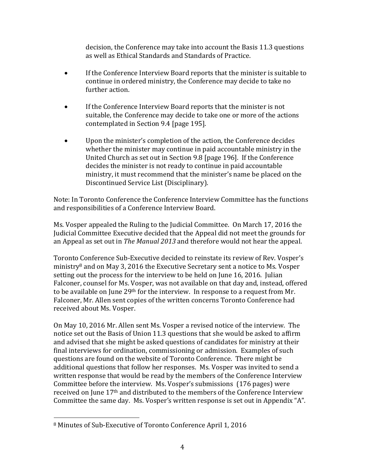decision, the Conference may take into account the Basis 11.3 questions as well as Ethical Standards and Standards of Practice.

- If the Conference Interview Board reports that the minister is suitable to continue in ordered ministry, the Conference may decide to take no further action.
- If the Conference Interview Board reports that the minister is not suitable, the Conference may decide to take one or more of the actions contemplated in Section 9.4 [page 195].
- Upon the minister's completion of the action, the Conference decides whether the minister may continue in paid accountable ministry in the United Church as set out in Section 9.8 [page 196]. If the Conference decides the minister is not ready to continue in paid accountable ministry, it must recommend that the minister's name be placed on the Discontinued Service List (Disciplinary).

Note: In Toronto Conference the Conference Interview Committee has the functions and responsibilities of a Conference Interview Board.

Ms. Vosper appealed the Ruling to the Judicial Committee. On March 17, 2016 the Judicial Committee Executive decided that the Appeal did not meet the grounds for an Appeal as set out in *The Manual 2013* and therefore would not hear the appeal.

Toronto Conference Sub-Executive decided to reinstate its review of Rev. Vosper's ministry<sup>8</sup> and on May 3, 2016 the Executive Secretary sent a notice to Ms. Vosper setting out the process for the interview to be held on June 16, 2016. Julian Falconer, counsel for Ms. Vosper, was not available on that day and, instead, offered to be available on June 29<sup>th</sup> for the interview. In response to a request from Mr. Falconer, Mr. Allen sent copies of the written concerns Toronto Conference had received about Ms. Vosper.

On May 10, 2016 Mr. Allen sent Ms. Vosper a revised notice of the interview. The notice set out the Basis of Union 11.3 questions that she would be asked to affirm and advised that she might be asked questions of candidates for ministry at their final interviews for ordination, commissioning or admission. Examples of such questions are found on the website of Toronto Conference. There might be additional questions that follow her responses. Ms. Vosper was invited to send a written response that would be read by the members of the Conference Interview Committee before the interview. Ms. Vosper's submissions (176 pages) were received on June 17th and distributed to the members of the Conference Interview Committee the same day. Ms. Vosper's written response is set out in Appendix "A".

l

<sup>8</sup> Minutes of Sub-Executive of Toronto Conference April 1, 2016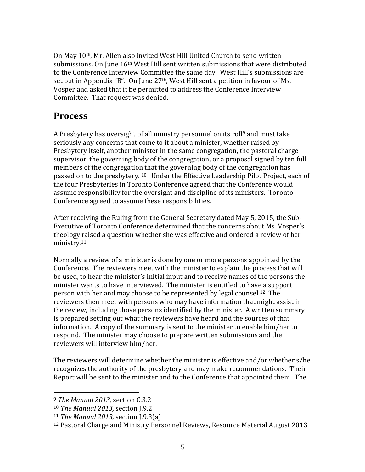On May 10th, Mr. Allen also invited West Hill United Church to send written submissions. On June 16<sup>th</sup> West Hill sent written submissions that were distributed to the Conference Interview Committee the same day. West Hill's submissions are set out in Appendix "B". On June 27th, West Hill sent a petition in favour of Ms. Vosper and asked that it be permitted to address the Conference Interview Committee. That request was denied.

# **Process**

A Presbytery has oversight of all ministry personnel on its roll<sup>9</sup> and must take seriously any concerns that come to it about a minister, whether raised by Presbytery itself, another minister in the same congregation, the pastoral charge supervisor, the governing body of the congregation, or a proposal signed by ten full members of the congregation that the governing body of the congregation has passed on to the presbytery. <sup>10</sup> Under the Effective Leadership Pilot Project, each of the four Presbyteries in Toronto Conference agreed that the Conference would assume responsibility for the oversight and discipline of its ministers. Toronto Conference agreed to assume these responsibilities.

After receiving the Ruling from the General Secretary dated May 5, 2015, the Sub-Executive of Toronto Conference determined that the concerns about Ms. Vosper's theology raised a question whether she was effective and ordered a review of her ministry.<sup>11</sup>

Normally a review of a minister is done by one or more persons appointed by the Conference. The reviewers meet with the minister to explain the process that will be used, to hear the minister's initial input and to receive names of the persons the minister wants to have interviewed. The minister is entitled to have a support person with her and may choose to be represented by legal counsel.12 The reviewers then meet with persons who may have information that might assist in the review, including those persons identified by the minister. A written summary is prepared setting out what the reviewers have heard and the sources of that information. A copy of the summary is sent to the minister to enable him/her to respond. The minister may choose to prepare written submissions and the reviewers will interview him/her.

The reviewers will determine whether the minister is effective and/or whether s/he recognizes the authority of the presbytery and may make recommendations. Their Report will be sent to the minister and to the Conference that appointed them. The

<sup>9</sup> *The Manual 2013,* section C.3.2

<sup>10</sup> *The Manual 2013,* section J.9.2

<sup>11</sup> *The Manual 2013,* section J.9.3(a)

<sup>12</sup> Pastoral Charge and Ministry Personnel Reviews, Resource Material August 2013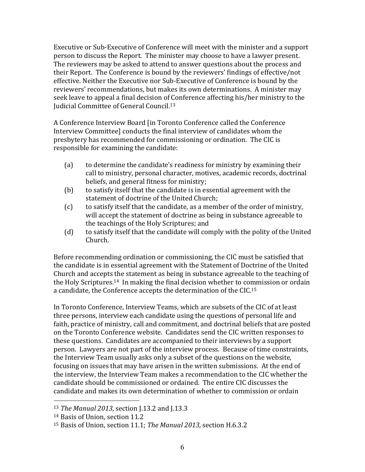Executive or Sub-Executive of Conference will meet with the minister and a support person to discuss the Report. The minister may choose to have a lawyer present. The reviewers may be asked to attend to answer questions about the process and their Report. The Conference is bound by the reviewers' findings of effective/not effective. Neither the Executive nor Sub-Executive of Conference is bound by the reviewers' recommendations, but makes its own determinations. A minister may seek leave to appeal a final decision of Conference affecting his/her ministry to the Judicial Committee of General Council.<sup>13</sup>

A Conference Interview Board [in Toronto Conference called the Conference Interview Committee] conducts the final interview of candidates whom the presbytery has recommended for commissioning or ordination. The CIC is responsible for examining the candidate:

- (a) to determine the candidate's readiness for ministry by examining their call to ministry, personal character, motives, academic records, doctrinal beliefs, and general fitness for ministry;
- (b) to satisfy itself that the candidate is in essential agreement with the statement of doctrine of the United Church;
- (c) to satisfy itself that the candidate, as a member of the order of ministry, will accept the statement of doctrine as being in substance agreeable to the teachings of the Holy Scriptures; and
- (d) to satisfy itself that the candidate will comply with the polity of the United Church.

Before recommending ordination or commissioning, the CIC must be satisfied that the candidate is in essential agreement with the Statement of Doctrine of the United Church and accepts the statement as being in substance agreeable to the teaching of the Holy Scriptures.14 In making the final decision whether to commission or ordain a candidate, the Conference accepts the determination of the CIC.<sup>15</sup>

In Toronto Conference, Interview Teams, which are subsets of the CIC of at least three persons, interview each candidate using the questions of personal life and faith, practice of ministry, call and commitment, and doctrinal beliefs that are posted on the Toronto Conference website. Candidates send the CIC written responses to these questions. Candidates are accompanied to their interviews by a support person. Lawyers are not part of the interview process. Because of time constraints, the Interview Team usually asks only a subset of the questions on the website, focusing on issues that may have arisen in the written submissions. At the end of the interview, the Interview Team makes a recommendation to the CIC whether the candidate should be commissioned or ordained. The entire CIC discusses the candidate and makes its own determination of whether to commission or ordain

<sup>13</sup> *The Manual 2013,* section J.13.2 and J.13.3

<sup>14</sup> Basis of Union, section 11.2

<sup>15</sup> Basis of Union, section 11.1; *The Manual 2013,* section H.6.3.2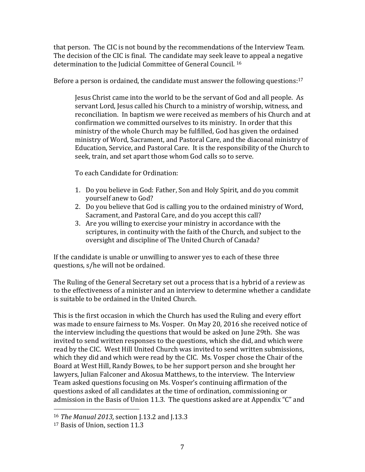that person. The CIC is not bound by the recommendations of the Interview Team. The decision of the CIC is final. The candidate may seek leave to appeal a negative determination to the Judicial Committee of General Council. <sup>16</sup>

Before a person is ordained, the candidate must answer the following questions:<sup>17</sup>

Jesus Christ came into the world to be the servant of God and all people. As servant Lord, Jesus called his Church to a ministry of worship, witness, and reconciliation. In baptism we were received as members of his Church and at confirmation we committed ourselves to its ministry. In order that this ministry of the whole Church may be fulfilled, God has given the ordained ministry of Word, Sacrament, and Pastoral Care, and the diaconal ministry of Education, Service, and Pastoral Care. It is the responsibility of the Church to seek, train, and set apart those whom God calls so to serve.

To each Candidate for Ordination:

- 1. Do you believe in God: Father, Son and Holy Spirit, and do you commit yourself anew to God?
- 2. Do you believe that God is calling you to the ordained ministry of Word, Sacrament, and Pastoral Care, and do you accept this call?
- 3. Are you willing to exercise your ministry in accordance with the scriptures, in continuity with the faith of the Church, and subject to the oversight and discipline of The United Church of Canada?

If the candidate is unable or unwilling to answer yes to each of these three questions, s/he will not be ordained.

The Ruling of the General Secretary set out a process that is a hybrid of a review as to the effectiveness of a minister and an interview to determine whether a candidate is suitable to be ordained in the United Church.

This is the first occasion in which the Church has used the Ruling and every effort was made to ensure fairness to Ms. Vosper. On May 20, 2016 she received notice of the interview including the questions that would be asked on June 29th. She was invited to send written responses to the questions, which she did, and which were read by the CIC. West Hill United Church was invited to send written submissions, which they did and which were read by the CIC. Ms. Vosper chose the Chair of the Board at West Hill, Randy Bowes, to be her support person and she brought her lawyers, Julian Falconer and Akosua Matthews, to the interview. The Interview Team asked questions focusing on Ms. Vosper's continuing affirmation of the questions asked of all candidates at the time of ordination, commissioning or admission in the Basis of Union 11.3. The questions asked are at Appendix "C" and

<sup>16</sup> *The Manual 2013,* section J.13.2 and J.13.3

<sup>17</sup> Basis of Union, section 11.3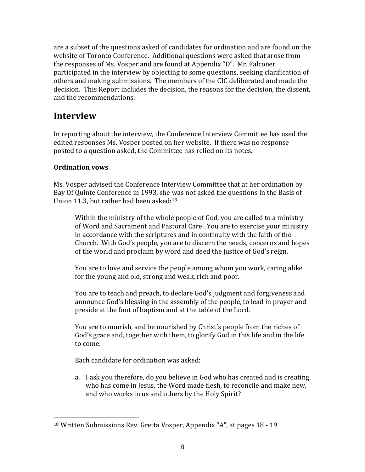are a subset of the questions asked of candidates for ordination and are found on the website of Toronto Conference. Additional questions were asked that arose from the responses of Ms. Vosper and are found at Appendix "D". Mr. Falconer participated in the interview by objecting to some questions, seeking clarification of others and making submissions. The members of the CIC deliberated and made the decision. This Report includes the decision, the reasons for the decision, the dissent, and the recommendations.

# **Interview**

In reporting about the interview, the Conference Interview Committee has used the edited responses Ms. Vosper posted on her website. If there was no response posted to a question asked, the Committee has relied on its notes.

## **Ordination vows**

l

Ms. Vosper advised the Conference Interview Committee that at her ordination by Bay Of Quinte Conference in 1993, she was not asked the questions in the Basis of Union 11.3, but rather had been asked:<sup>18</sup>

Within the ministry of the whole people of God, you are called to a ministry of Word and Sacrament and Pastoral Care. You are to exercise your ministry in accordance with the scriptures and in continuity with the faith of the Church. With God's people, you are to discern the needs, concerns and hopes of the world and proclaim by word and deed the justice of God's reign.

You are to love and service the people among whom you work, caring alike for the young and old, strong and weak, rich and poor.

You are to teach and preach, to declare God's judgment and forgiveness and announce God's blessing in the assembly of the people, to lead in prayer and preside at the font of baptism and at the table of the Lord.

You are to nourish, and be nourished by Christ's people from the riches of God's grace and, together with them, to glorify God in this life and in the life to come.

Each candidate for ordination was asked:

a. I ask you therefore, do you believe in God who has created and is creating, who has come in Jesus, the Word made flesh, to reconcile and make new, and who works in us and others by the Holy Spirit?

<sup>18</sup> Written Submissions Rev. Gretta Vosper, Appendix "A", at pages 18 - 19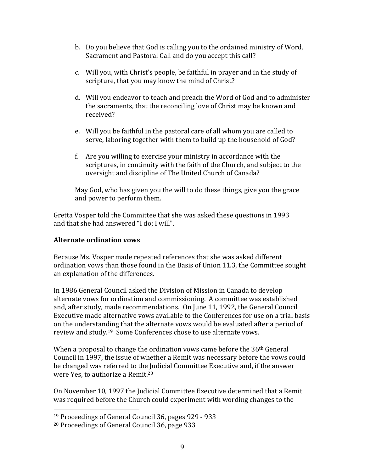- b. Do you believe that God is calling you to the ordained ministry of Word, Sacrament and Pastoral Call and do you accept this call?
- c. Will you, with Christ's people, be faithful in prayer and in the study of scripture, that you may know the mind of Christ?
- d. Will you endeavor to teach and preach the Word of God and to administer the sacraments, that the reconciling love of Christ may be known and received?
- e. Will you be faithful in the pastoral care of all whom you are called to serve, laboring together with them to build up the household of God?
- f. Are you willing to exercise your ministry in accordance with the scriptures, in continuity with the faith of the Church, and subject to the oversight and discipline of The United Church of Canada?

May God, who has given you the will to do these things, give you the grace and power to perform them.

Gretta Vosper told the Committee that she was asked these questions in 1993 and that she had answered "I do; I will".

#### **Alternate ordination vows**

Because Ms. Vosper made repeated references that she was asked different ordination vows than those found in the Basis of Union 11.3, the Committee sought an explanation of the differences.

In 1986 General Council asked the Division of Mission in Canada to develop alternate vows for ordination and commissioning. A committee was established and, after study, made recommendations. On June 11, 1992, the General Council Executive made alternative vows available to the Conferences for use on a trial basis on the understanding that the alternate vows would be evaluated after a period of review and study.19 Some Conferences chose to use alternate vows.

When a proposal to change the ordination vows came before the  $36<sup>th</sup>$  General Council in 1997, the issue of whether a Remit was necessary before the vows could be changed was referred to the Judicial Committee Executive and, if the answer were Yes, to authorize a Remit.<sup>20</sup>

On November 10, 1997 the Judicial Committee Executive determined that a Remit was required before the Church could experiment with wording changes to the

<sup>19</sup> Proceedings of General Council 36, pages 929 - 933

<sup>20</sup> Proceedings of General Council 36, page 933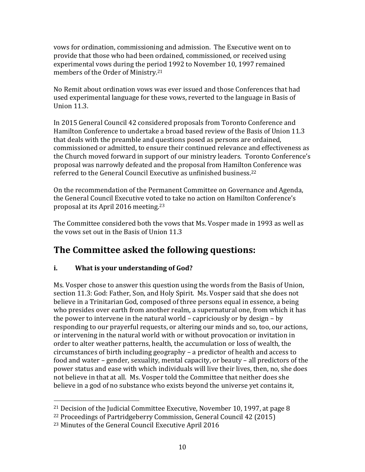vows for ordination, commissioning and admission. The Executive went on to provide that those who had been ordained, commissioned, or received using experimental vows during the period 1992 to November 10, 1997 remained members of the Order of Ministry.<sup>21</sup>

No Remit about ordination vows was ever issued and those Conferences that had used experimental language for these vows, reverted to the language in Basis of Union 11.3.

In 2015 General Council 42 considered proposals from Toronto Conference and Hamilton Conference to undertake a broad based review of the Basis of Union 11.3 that deals with the preamble and questions posed as persons are ordained, commissioned or admitted, to ensure their continued relevance and effectiveness as the Church moved forward in support of our ministry leaders. Toronto Conference's proposal was narrowly defeated and the proposal from Hamilton Conference was referred to the General Council Executive as unfinished business.<sup>22</sup>

On the recommendation of the Permanent Committee on Governance and Agenda, the General Council Executive voted to take no action on Hamilton Conference's proposal at its April 2016 meeting.<sup>23</sup>

The Committee considered both the vows that Ms. Vosper made in 1993 as well as the vows set out in the Basis of Union 11.3

# **The Committee asked the following questions:**

## **i. What is your understanding of God?**

Ms. Vosper chose to answer this question using the words from the Basis of Union, section 11.3: God: Father, Son, and Holy Spirit. Ms. Vosper said that she does not believe in a Trinitarian God, composed of three persons equal in essence, a being who presides over earth from another realm, a supernatural one, from which it has the power to intervene in the natural world – capriciously or by design – by responding to our prayerful requests, or altering our minds and so, too, our actions, or intervening in the natural world with or without provocation or invitation in order to alter weather patterns, health, the accumulation or loss of wealth, the circumstances of birth including geography – a predictor of health and access to food and water – gender, sexuality, mental capacity, or beauty – all predictors of the power status and ease with which individuals will live their lives, then, no, she does not believe in that at all. Ms. Vosper told the Committee that neither does she believe in a god of no substance who exists beyond the universe yet contains it,

 $\overline{\phantom{a}}$ 

<sup>21</sup> Decision of the Judicial Committee Executive, November 10, 1997, at page 8

<sup>22</sup> Proceedings of Partridgeberry Commission, General Council 42 (2015)

<sup>23</sup> Minutes of the General Council Executive April 2016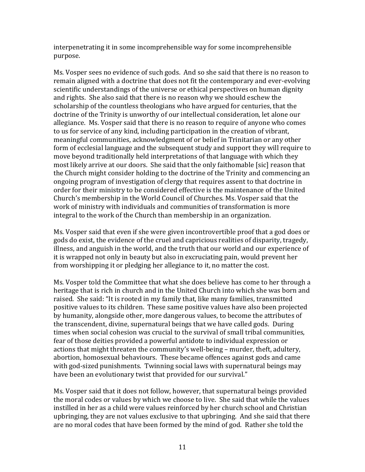interpenetrating it in some incomprehensible way for some incomprehensible purpose.

Ms. Vosper sees no evidence of such gods. And so she said that there is no reason to remain aligned with a doctrine that does not fit the contemporary and ever-evolving scientific understandings of the universe or ethical perspectives on human dignity and rights. She also said that there is no reason why we should eschew the scholarship of the countless theologians who have argued for centuries, that the doctrine of the Trinity is unworthy of our intellectual consideration, let alone our allegiance. Ms. Vosper said that there is no reason to require of anyone who comes to us for service of any kind, including participation in the creation of vibrant, meaningful communities, acknowledgment of or belief in Trinitarian or any other form of ecclesial language and the subsequent study and support they will require to move beyond traditionally held interpretations of that language with which they most likely arrive at our doors. She said that the only faithomable [sic] reason that the Church might consider holding to the doctrine of the Trinity and commencing an ongoing program of investigation of clergy that requires assent to that doctrine in order for their ministry to be considered effective is the maintenance of the United Church's membership in the World Council of Churches. Ms. Vosper said that the work of ministry with individuals and communities of transformation is more integral to the work of the Church than membership in an organization.

Ms. Vosper said that even if she were given incontrovertible proof that a god does or gods do exist, the evidence of the cruel and capricious realities of disparity, tragedy, illness, and anguish in the world, and the truth that our world and our experience of it is wrapped not only in beauty but also in excruciating pain, would prevent her from worshipping it or pledging her allegiance to it, no matter the cost.

Ms. Vosper told the Committee that what she does believe has come to her through a heritage that is rich in church and in the United Church into which she was born and raised. She said: "It is rooted in my family that, like many families, transmitted positive values to its children. These same positive values have also been projected by humanity, alongside other, more dangerous values, to become the attributes of the transcendent, divine, supernatural beings that we have called gods. During times when social cohesion was crucial to the survival of small tribal communities, fear of those deities provided a powerful antidote to individual expression or actions that might threaten the community's well-being – murder, theft, adultery, abortion, homosexual behaviours. These became offences against gods and came with god-sized punishments. Twinning social laws with supernatural beings may have been an evolutionary twist that provided for our survival."

Ms. Vosper said that it does not follow, however, that supernatural beings provided the moral codes or values by which we choose to live. She said that while the values instilled in her as a child were values reinforced by her church school and Christian upbringing, they are not values exclusive to that upbringing. And she said that there are no moral codes that have been formed by the mind of god. Rather she told the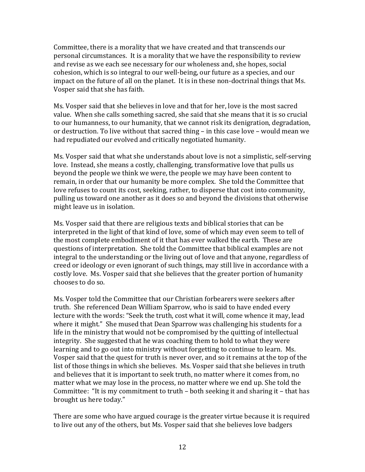Committee, there is a morality that we have created and that transcends our personal circumstances. It is a morality that we have the responsibility to review and revise as we each see necessary for our wholeness and, she hopes, social cohesion, which is so integral to our well-being, our future as a species, and our impact on the future of all on the planet. It is in these non-doctrinal things that Ms. Vosper said that she has faith.

Ms. Vosper said that she believes in love and that for her, love is the most sacred value. When she calls something sacred, she said that she means that it is so crucial to our humanness, to our humanity, that we cannot risk its denigration, degradation, or destruction. To live without that sacred thing – in this case love – would mean we had repudiated our evolved and critically negotiated humanity.

Ms. Vosper said that what she understands about love is not a simplistic, self-serving love. Instead, she means a costly, challenging, transformative love that pulls us beyond the people we think we were, the people we may have been content to remain, in order that our humanity be more complex. She told the Committee that love refuses to count its cost, seeking, rather, to disperse that cost into community, pulling us toward one another as it does so and beyond the divisions that otherwise might leave us in isolation.

Ms. Vosper said that there are religious texts and biblical stories that can be interpreted in the light of that kind of love, some of which may even seem to tell of the most complete embodiment of it that has ever walked the earth. These are questions of interpretation. She told the Committee that biblical examples are not integral to the understanding or the living out of love and that anyone, regardless of creed or ideology or even ignorant of such things, may still live in accordance with a costly love. Ms. Vosper said that she believes that the greater portion of humanity chooses to do so.

Ms. Vosper told the Committee that our Christian forbearers were seekers after truth. She referenced Dean William Sparrow, who is said to have ended every lecture with the words: "Seek the truth, cost what it will, come whence it may, lead where it might." She mused that Dean Sparrow was challenging his students for a life in the ministry that would not be compromised by the quitting of intellectual integrity. She suggested that he was coaching them to hold to what they were learning and to go out into ministry without forgetting to continue to learn. Ms. Vosper said that the quest for truth is never over, and so it remains at the top of the list of those things in which she believes. Ms. Vosper said that she believes in truth and believes that it is important to seek truth, no matter where it comes from, no matter what we may lose in the process, no matter where we end up. She told the Committee: "It is my commitment to truth – both seeking it and sharing it – that has brought us here today."

There are some who have argued courage is the greater virtue because it is required to live out any of the others, but Ms. Vosper said that she believes love badgers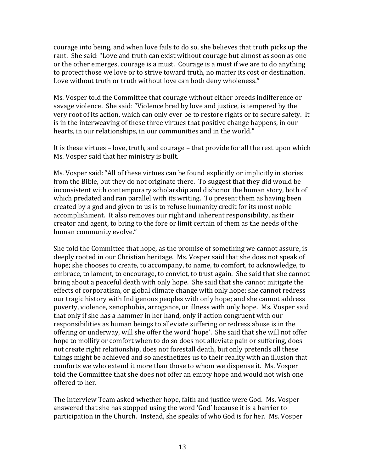courage into being, and when love fails to do so, she believes that truth picks up the rant. She said: "Love and truth can exist without courage but almost as soon as one or the other emerges, courage is a must. Courage is a must if we are to do anything to protect those we love or to strive toward truth, no matter its cost or destination. Love without truth or truth without love can both deny wholeness."

Ms. Vosper told the Committee that courage without either breeds indifference or savage violence. She said: "Violence bred by love and justice, is tempered by the very root of its action, which can only ever be to restore rights or to secure safety. It is in the interweaving of these three virtues that positive change happens, in our hearts, in our relationships, in our communities and in the world."

It is these virtues – love, truth, and courage – that provide for all the rest upon which Ms. Vosper said that her ministry is built.

Ms. Vosper said: "All of these virtues can be found explicitly or implicitly in stories from the Bible, but they do not originate there. To suggest that they did would be inconsistent with contemporary scholarship and dishonor the human story, both of which predated and ran parallel with its writing. To present them as having been created by a god and given to us is to refuse humanity credit for its most noble accomplishment. It also removes our right and inherent responsibility, as their creator and agent, to bring to the fore or limit certain of them as the needs of the human community evolve."

She told the Committee that hope, as the promise of something we cannot assure, is deeply rooted in our Christian heritage. Ms. Vosper said that she does not speak of hope; she chooses to create, to accompany, to name, to comfort, to acknowledge, to embrace, to lament, to encourage, to convict, to trust again. She said that she cannot bring about a peaceful death with only hope. She said that she cannot mitigate the effects of corporatism, or global climate change with only hope; she cannot redress our tragic history with Indigenous peoples with only hope; and she cannot address poverty, violence, xenophobia, arrogance, or illness with only hope. Ms. Vosper said that only if she has a hammer in her hand, only if action congruent with our responsibilities as human beings to alleviate suffering or redress abuse is in the offering or underway, will she offer the word 'hope'. She said that she will not offer hope to mollify or comfort when to do so does not alleviate pain or suffering, does not create right relationship, does not forestall death, but only pretends all these things might be achieved and so anesthetizes us to their reality with an illusion that comforts we who extend it more than those to whom we dispense it. Ms. Vosper told the Committee that she does not offer an empty hope and would not wish one offered to her.

The Interview Team asked whether hope, faith and justice were God. Ms. Vosper answered that she has stopped using the word 'God' because it is a barrier to participation in the Church. Instead, she speaks of who God is for her. Ms. Vosper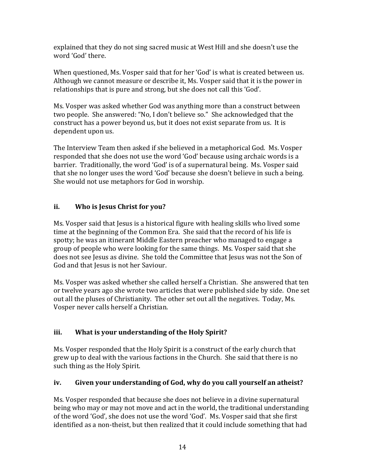explained that they do not sing sacred music at West Hill and she doesn't use the word 'God' there.

When questioned, Ms. Vosper said that for her 'God' is what is created between us. Although we cannot measure or describe it, Ms. Vosper said that it is the power in relationships that is pure and strong, but she does not call this 'God'.

Ms. Vosper was asked whether God was anything more than a construct between two people. She answered: "No, I don't believe so." She acknowledged that the construct has a power beyond us, but it does not exist separate from us. It is dependent upon us.

The Interview Team then asked if she believed in a metaphorical God. Ms. Vosper responded that she does not use the word 'God' because using archaic words is a barrier. Traditionally, the word 'God' is of a supernatural being. Ms. Vosper said that she no longer uses the word 'God' because she doesn't believe in such a being. She would not use metaphors for God in worship.

### **ii. Who is Jesus Christ for you?**

Ms. Vosper said that Jesus is a historical figure with healing skills who lived some time at the beginning of the Common Era. She said that the record of his life is spotty; he was an itinerant Middle Eastern preacher who managed to engage a group of people who were looking for the same things. Ms. Vosper said that she does not see Jesus as divine. She told the Committee that Jesus was not the Son of God and that Jesus is not her Saviour.

Ms. Vosper was asked whether she called herself a Christian. She answered that ten or twelve years ago she wrote two articles that were published side by side. One set out all the pluses of Christianity. The other set out all the negatives. Today, Ms. Vosper never calls herself a Christian.

## **iii. What is your understanding of the Holy Spirit?**

Ms. Vosper responded that the Holy Spirit is a construct of the early church that grew up to deal with the various factions in the Church. She said that there is no such thing as the Holy Spirit.

## **iv. Given your understanding of God, why do you call yourself an atheist?**

Ms. Vosper responded that because she does not believe in a divine supernatural being who may or may not move and act in the world, the traditional understanding of the word 'God', she does not use the word 'God'. Ms. Vosper said that she first identified as a non-theist, but then realized that it could include something that had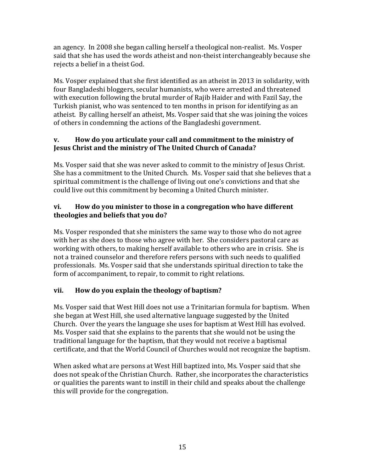an agency. In 2008 she began calling herself a theological non-realist. Ms. Vosper said that she has used the words atheist and non-theist interchangeably because she rejects a belief in a theist God.

Ms. Vosper explained that she first identified as an atheist in 2013 in solidarity, with four Bangladeshi bloggers, secular humanists, who were arrested and threatened with execution following the brutal murder of Rajib Haider and with Fazil Say, the Turkish pianist, who was sentenced to ten months in prison for identifying as an atheist. By calling herself an atheist, Ms. Vosper said that she was joining the voices of others in condemning the actions of the Bangladeshi government.

### **v. How do you articulate your call and commitment to the ministry of Jesus Christ and the ministry of The United Church of Canada?**

Ms. Vosper said that she was never asked to commit to the ministry of Jesus Christ. She has a commitment to the United Church. Ms. Vosper said that she believes that a spiritual commitment is the challenge of living out one's convictions and that she could live out this commitment by becoming a United Church minister.

#### **vi. How do you minister to those in a congregation who have different theologies and beliefs that you do?**

Ms. Vosper responded that she ministers the same way to those who do not agree with her as she does to those who agree with her. She considers pastoral care as working with others, to making herself available to others who are in crisis. She is not a trained counselor and therefore refers persons with such needs to qualified professionals. Ms. Vosper said that she understands spiritual direction to take the form of accompaniment, to repair, to commit to right relations.

## **vii. How do you explain the theology of baptism?**

Ms. Vosper said that West Hill does not use a Trinitarian formula for baptism. When she began at West Hill, she used alternative language suggested by the United Church. Over the years the language she uses for baptism at West Hill has evolved. Ms. Vosper said that she explains to the parents that she would not be using the traditional language for the baptism, that they would not receive a baptismal certificate, and that the World Council of Churches would not recognize the baptism.

When asked what are persons at West Hill baptized into, Ms. Vosper said that she does not speak of the Christian Church. Rather, she incorporates the characteristics or qualities the parents want to instill in their child and speaks about the challenge this will provide for the congregation.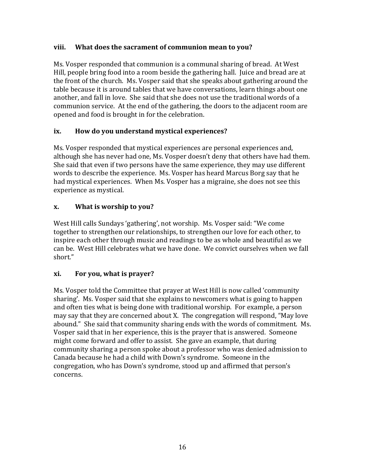#### **viii. What does the sacrament of communion mean to you?**

Ms. Vosper responded that communion is a communal sharing of bread. At West Hill, people bring food into a room beside the gathering hall. Juice and bread are at the front of the church. Ms. Vosper said that she speaks about gathering around the table because it is around tables that we have conversations, learn things about one another, and fall in love. She said that she does not use the traditional words of a communion service. At the end of the gathering, the doors to the adjacent room are opened and food is brought in for the celebration.

#### **ix. How do you understand mystical experiences?**

Ms. Vosper responded that mystical experiences are personal experiences and, although she has never had one, Ms. Vosper doesn't deny that others have had them. She said that even if two persons have the same experience, they may use different words to describe the experience. Ms. Vosper has heard Marcus Borg say that he had mystical experiences. When Ms. Vosper has a migraine, she does not see this experience as mystical.

#### **x. What is worship to you?**

West Hill calls Sundays 'gathering', not worship. Ms. Vosper said: "We come together to strengthen our relationships, to strengthen our love for each other, to inspire each other through music and readings to be as whole and beautiful as we can be. West Hill celebrates what we have done. We convict ourselves when we fall short."

#### **xi. For you, what is prayer?**

Ms. Vosper told the Committee that prayer at West Hill is now called 'community sharing'. Ms. Vosper said that she explains to newcomers what is going to happen and often ties what is being done with traditional worship. For example, a person may say that they are concerned about X. The congregation will respond, "May love abound." She said that community sharing ends with the words of commitment. Ms. Vosper said that in her experience, this is the prayer that is answered. Someone might come forward and offer to assist. She gave an example, that during community sharing a person spoke about a professor who was denied admission to Canada because he had a child with Down's syndrome. Someone in the congregation, who has Down's syndrome, stood up and affirmed that person's concerns.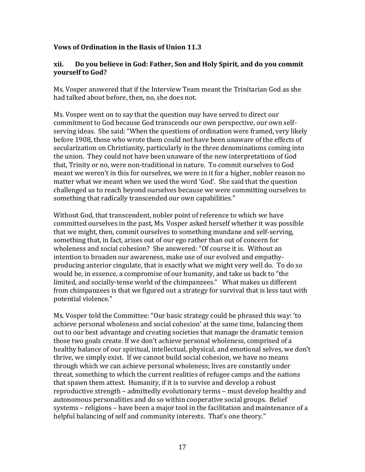#### **Vows of Ordination in the Basis of Union 11.3**

#### **xii. Do you believe in God: Father, Son and Holy Spirit, and do you commit yourself to God?**

Ms. Vosper answered that if the Interview Team meant the Trinitarian God as she had talked about before, then, no, she does not.

Ms. Vosper went on to say that the question may have served to direct our commitment to God because God transcends our own perspective, our own selfserving ideas. She said: "When the questions of ordination were framed, very likely before 1908, those who wrote them could not have been unaware of the effects of secularization on Christianity, particularly in the three denominations coming into the union. They could not have been unaware of the new interpretations of God that, Trinity or no, were non-traditional in nature. To commit ourselves to God meant we weren't in this for ourselves, we were in it for a higher, nobler reason no matter what we meant when we used the word 'God'. She said that the question challenged us to reach beyond ourselves because we were committing ourselves to something that radically transcended our own capabilities."

Without God, that transcendent, nobler point of reference to which we have committed ourselves in the past, Ms. Vosper asked herself whether it was possible that we might, then, commit ourselves to something mundane and self-serving, something that, in fact, arises out of our ego rather than out of concern for wholeness and social cohesion? She answered: "Of course it is. Without an intention to broaden our awareness, make use of our evolved and empathyproducing anterior cingulate, that is exactly what we might very well do. To do so would be, in essence, a compromise of our humanity, and take us back to "the limited, and socially-tense world of the chimpanzees." What makes us different from chimpanzees is that we figured out a strategy for survival that is less taut with potential violence."

Ms. Vosper told the Committee: "Our basic strategy could be phrased this way: 'to achieve personal wholeness and social cohesion' at the same time, balancing them out to our best advantage and creating societies that manage the dramatic tension those two goals create. If we don't achieve personal wholeness, comprised of a healthy balance of our spiritual, intellectual, physical, and emotional selves, we don't thrive, we simply exist. If we cannot build social cohesion, we have no means through which we can achieve personal wholeness; lives are constantly under threat, something to which the current realities of refugee camps and the nations that spawn them attest. Humanity, if it is to survive and develop a robust reproductive strength – admittedly evolutionary terms – must develop healthy and autonomous personalities and do so within cooperative social groups. Belief systems – religions – have been a major tool in the facilitation and maintenance of a helpful balancing of self and community interests. That's one theory."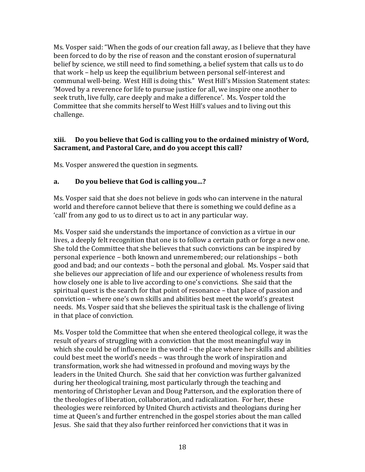Ms. Vosper said: "When the gods of our creation fall away, as I believe that they have been forced to do by the rise of reason and the constant erosion of supernatural belief by science, we still need to find something, a belief system that calls us to do that work – help us keep the equilibrium between personal self-interest and communal well-being. West Hill is doing this." West Hill's Mission Statement states: 'Moved by a reverence for life to pursue justice for all, we inspire one another to seek truth, live fully, care deeply and make a difference'. Ms. Vosper told the Committee that she commits herself to West Hill's values and to living out this challenge.

#### **xiii. Do you believe that God is calling you to the ordained ministry of Word, Sacrament, and Pastoral Care, and do you accept this call?**

Ms. Vosper answered the question in segments.

#### **a. Do you believe that God is calling you…?**

Ms. Vosper said that she does not believe in gods who can intervene in the natural world and therefore cannot believe that there is something we could define as a 'call' from any god to us to direct us to act in any particular way.

Ms. Vosper said she understands the importance of conviction as a virtue in our lives, a deeply felt recognition that one is to follow a certain path or forge a new one. She told the Committee that she believes that such convictions can be inspired by personal experience – both known and unremembered; our relationships – both good and bad; and our contexts – both the personal and global. Ms. Vosper said that she believes our appreciation of life and our experience of wholeness results from how closely one is able to live according to one's convictions. She said that the spiritual quest is the search for that point of resonance – that place of passion and conviction – where one's own skills and abilities best meet the world's greatest needs. Ms. Vosper said that she believes the spiritual task is the challenge of living in that place of conviction.

Ms. Vosper told the Committee that when she entered theological college, it was the result of years of struggling with a conviction that the most meaningful way in which she could be of influence in the world – the place where her skills and abilities could best meet the world's needs – was through the work of inspiration and transformation, work she had witnessed in profound and moving ways by the leaders in the United Church. She said that her conviction was further galvanized during her theological training, most particularly through the teaching and mentoring of Christopher Levan and Doug Patterson, and the exploration there of the theologies of liberation, collaboration, and radicalization. For her, these theologies were reinforced by United Church activists and theologians during her time at Queen's and further entrenched in the gospel stories about the man called Jesus. She said that they also further reinforced her convictions that it was in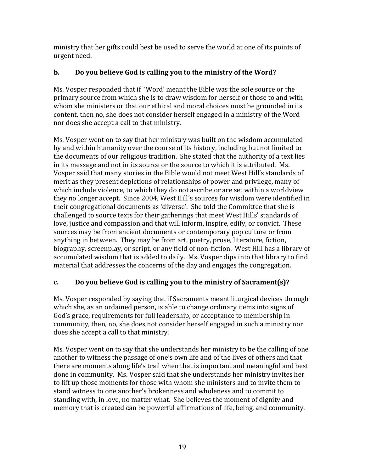ministry that her gifts could best be used to serve the world at one of its points of urgent need.

## **b. Do you believe God is calling you to the ministry of the Word?**

Ms. Vosper responded that if 'Word' meant the Bible was the sole source or the primary source from which she is to draw wisdom for herself or those to and with whom she ministers or that our ethical and moral choices must be grounded in its content, then no, she does not consider herself engaged in a ministry of the Word nor does she accept a call to that ministry.

Ms. Vosper went on to say that her ministry was built on the wisdom accumulated by and within humanity over the course of its history, including but not limited to the documents of our religious tradition. She stated that the authority of a text lies in its message and not in its source or the source to which it is attributed. Ms. Vosper said that many stories in the Bible would not meet West Hill's standards of merit as they present depictions of relationships of power and privilege, many of which include violence, to which they do not ascribe or are set within a worldview they no longer accept. Since 2004, West Hill's sources for wisdom were identified in their congregational documents as 'diverse'. She told the Committee that she is challenged to source texts for their gatherings that meet West Hills' standards of love, justice and compassion and that will inform, inspire, edify, or convict. These sources may be from ancient documents or contemporary pop culture or from anything in between. They may be from art, poetry, prose, literature, fiction, biography, screenplay, or script, or any field of non-fiction. West Hill has a library of accumulated wisdom that is added to daily. Ms. Vosper dips into that library to find material that addresses the concerns of the day and engages the congregation.

## **c. Do you believe God is calling you to the ministry of Sacrament(s)?**

Ms. Vosper responded by saying that if Sacraments meant liturgical devices through which she, as an ordained person, is able to change ordinary items into signs of God's grace, requirements for full leadership, or acceptance to membership in community, then, no, she does not consider herself engaged in such a ministry nor does she accept a call to that ministry.

Ms. Vosper went on to say that she understands her ministry to be the calling of one another to witness the passage of one's own life and of the lives of others and that there are moments along life's trail when that is important and meaningful and best done in community. Ms. Vosper said that she understands her ministry invites her to lift up those moments for those with whom she ministers and to invite them to stand witness to one another's brokenness and wholeness and to commit to standing with, in love, no matter what. She believes the moment of dignity and memory that is created can be powerful affirmations of life, being, and community.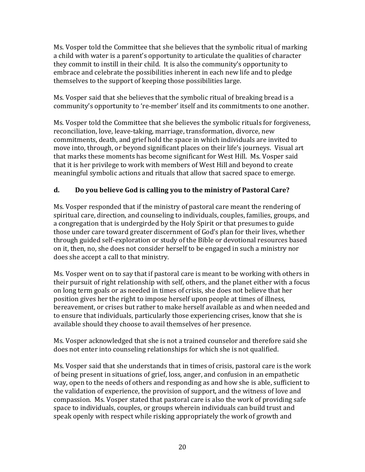Ms. Vosper told the Committee that she believes that the symbolic ritual of marking a child with water is a parent's opportunity to articulate the qualities of character they commit to instill in their child. It is also the community's opportunity to embrace and celebrate the possibilities inherent in each new life and to pledge themselves to the support of keeping those possibilities large.

Ms. Vosper said that she believes that the symbolic ritual of breaking bread is a community's opportunity to 're-member' itself and its commitments to one another.

Ms. Vosper told the Committee that she believes the symbolic rituals for forgiveness, reconciliation, love, leave-taking, marriage, transformation, divorce, new commitments, death, and grief hold the space in which individuals are invited to move into, through, or beyond significant places on their life's journeys. Visual art that marks these moments has become significant for West Hill. Ms. Vosper said that it is her privilege to work with members of West Hill and beyond to create meaningful symbolic actions and rituals that allow that sacred space to emerge.

### **d. Do you believe God is calling you to the ministry of Pastoral Care?**

Ms. Vosper responded that if the ministry of pastoral care meant the rendering of spiritual care, direction, and counseling to individuals, couples, families, groups, and a congregation that is undergirded by the Holy Spirit or that presumes to guide those under care toward greater discernment of God's plan for their lives, whether through guided self-exploration or study of the Bible or devotional resources based on it, then, no, she does not consider herself to be engaged in such a ministry nor does she accept a call to that ministry.

Ms. Vosper went on to say that if pastoral care is meant to be working with others in their pursuit of right relationship with self, others, and the planet either with a focus on long term goals or as needed in times of crisis, she does not believe that her position gives her the right to impose herself upon people at times of illness, bereavement, or crises but rather to make herself available as and when needed and to ensure that individuals, particularly those experiencing crises, know that she is available should they choose to avail themselves of her presence.

Ms. Vosper acknowledged that she is not a trained counselor and therefore said she does not enter into counseling relationships for which she is not qualified.

Ms. Vosper said that she understands that in times of crisis, pastoral care is the work of being present in situations of grief, loss, anger, and confusion in an empathetic way, open to the needs of others and responding as and how she is able, sufficient to the validation of experience, the provision of support, and the witness of love and compassion. Ms. Vosper stated that pastoral care is also the work of providing safe space to individuals, couples, or groups wherein individuals can build trust and speak openly with respect while risking appropriately the work of growth and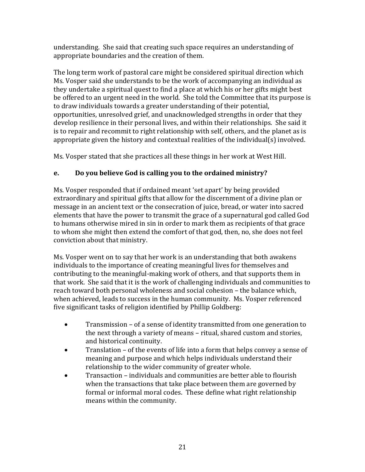understanding. She said that creating such space requires an understanding of appropriate boundaries and the creation of them.

The long term work of pastoral care might be considered spiritual direction which Ms. Vosper said she understands to be the work of accompanying an individual as they undertake a spiritual quest to find a place at which his or her gifts might best be offered to an urgent need in the world. She told the Committee that its purpose is to draw individuals towards a greater understanding of their potential, opportunities, unresolved grief, and unacknowledged strengths in order that they develop resilience in their personal lives, and within their relationships. She said it is to repair and recommit to right relationship with self, others, and the planet as is appropriate given the history and contextual realities of the individual(s) involved.

Ms. Vosper stated that she practices all these things in her work at West Hill.

### **e. Do you believe God is calling you to the ordained ministry?**

Ms. Vosper responded that if ordained meant 'set apart' by being provided extraordinary and spiritual gifts that allow for the discernment of a divine plan or message in an ancient text or the consecration of juice, bread, or water into sacred elements that have the power to transmit the grace of a supernatural god called God to humans otherwise mired in sin in order to mark them as recipients of that grace to whom she might then extend the comfort of that god, then, no, she does not feel conviction about that ministry.

Ms. Vosper went on to say that her work is an understanding that both awakens individuals to the importance of creating meaningful lives for themselves and contributing to the meaningful-making work of others, and that supports them in that work. She said that it is the work of challenging individuals and communities to reach toward both personal wholeness and social cohesion – the balance which, when achieved, leads to success in the human community. Ms. Vosper referenced five significant tasks of religion identified by Phillip Goldberg:

- Transmission of a sense of identity transmitted from one generation to the next through a variety of means – ritual, shared custom and stories, and historical continuity.
- Translation of the events of life into a form that helps convey a sense of meaning and purpose and which helps individuals understand their relationship to the wider community of greater whole.
- Transaction individuals and communities are better able to flourish when the transactions that take place between them are governed by formal or informal moral codes. These define what right relationship means within the community.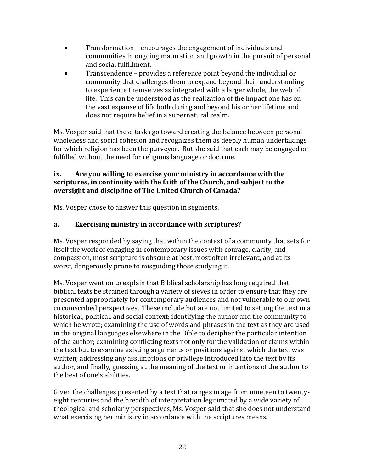- Transformation encourages the engagement of individuals and communities in ongoing maturation and growth in the pursuit of personal and social fulfillment.
- Transcendence provides a reference point beyond the individual or community that challenges them to expand beyond their understanding to experience themselves as integrated with a larger whole, the web of life. This can be understood as the realization of the impact one has on the vast expanse of life both during and beyond his or her lifetime and does not require belief in a supernatural realm.

Ms. Vosper said that these tasks go toward creating the balance between personal wholeness and social cohesion and recognizes them as deeply human undertakings for which religion has been the purveyor. But she said that each may be engaged or fulfilled without the need for religious language or doctrine.

#### **ix. Are you willing to exercise your ministry in accordance with the scriptures, in continuity with the faith of the Church, and subject to the oversight and discipline of The United Church of Canada?**

Ms. Vosper chose to answer this question in segments.

## **a. Exercising ministry in accordance with scriptures?**

Ms. Vosper responded by saying that within the context of a community that sets for itself the work of engaging in contemporary issues with courage, clarity, and compassion, most scripture is obscure at best, most often irrelevant, and at its worst, dangerously prone to misguiding those studying it.

Ms. Vosper went on to explain that Biblical scholarship has long required that biblical texts be strained through a variety of sieves in order to ensure that they are presented appropriately for contemporary audiences and not vulnerable to our own circumscribed perspectives. These include but are not limited to setting the text in a historical, political, and social context; identifying the author and the community to which he wrote; examining the use of words and phrases in the text as they are used in the original languages elsewhere in the Bible to decipher the particular intention of the author; examining conflicting texts not only for the validation of claims within the text but to examine existing arguments or positions against which the text was written; addressing any assumptions or privilege introduced into the text by its author, and finally, guessing at the meaning of the text or intentions of the author to the best of one's abilities.

Given the challenges presented by a text that ranges in age from nineteen to twentyeight centuries and the breadth of interpretation legitimated by a wide variety of theological and scholarly perspectives, Ms. Vosper said that she does not understand what exercising her ministry in accordance with the scriptures means.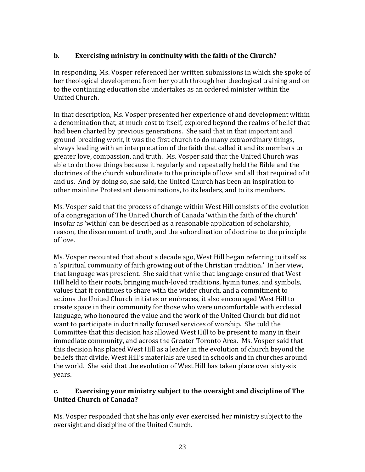### **b. Exercising ministry in continuity with the faith of the Church?**

In responding, Ms. Vosper referenced her written submissions in which she spoke of her theological development from her youth through her theological training and on to the continuing education she undertakes as an ordered minister within the United Church.

In that description, Ms. Vosper presented her experience of and development within a denomination that, at much cost to itself, explored beyond the realms of belief that had been charted by previous generations. She said that in that important and ground-breaking work, it was the first church to do many extraordinary things, always leading with an interpretation of the faith that called it and its members to greater love, compassion, and truth. Ms. Vosper said that the United Church was able to do those things because it regularly and repeatedly held the Bible and the doctrines of the church subordinate to the principle of love and all that required of it and us. And by doing so, she said, the United Church has been an inspiration to other mainline Protestant denominations, to its leaders, and to its members.

Ms. Vosper said that the process of change within West Hill consists of the evolution of a congregation of The United Church of Canada 'within the faith of the church' insofar as 'within' can be described as a reasonable application of scholarship, reason, the discernment of truth, and the subordination of doctrine to the principle of love.

Ms. Vosper recounted that about a decade ago, West Hill began referring to itself as a 'spiritual community of faith growing out of the Christian tradition.' In her view, that language was prescient. She said that while that language ensured that West Hill held to their roots, bringing much-loved traditions, hymn tunes, and symbols, values that it continues to share with the wider church, and a commitment to actions the United Church initiates or embraces, it also encouraged West Hill to create space in their community for those who were uncomfortable with ecclesial language, who honoured the value and the work of the United Church but did not want to participate in doctrinally focused services of worship. She told the Committee that this decision has allowed West Hill to be present to many in their immediate community, and across the Greater Toronto Area. Ms. Vosper said that this decision has placed West Hill as a leader in the evolution of church beyond the beliefs that divide. West Hill's materials are used in schools and in churches around the world. She said that the evolution of West Hill has taken place over sixty-six years.

#### **c. Exercising your ministry subject to the oversight and discipline of The United Church of Canada?**

Ms. Vosper responded that she has only ever exercised her ministry subject to the oversight and discipline of the United Church.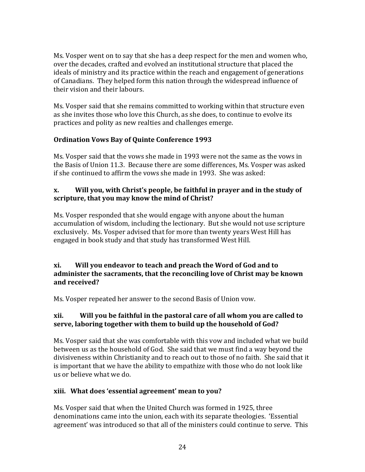Ms. Vosper went on to say that she has a deep respect for the men and women who, over the decades, crafted and evolved an institutional structure that placed the ideals of ministry and its practice within the reach and engagement of generations of Canadians. They helped form this nation through the widespread influence of their vision and their labours.

Ms. Vosper said that she remains committed to working within that structure even as she invites those who love this Church, as she does, to continue to evolve its practices and polity as new realties and challenges emerge.

#### **Ordination Vows Bay of Quinte Conference 1993**

Ms. Vosper said that the vows she made in 1993 were not the same as the vows in the Basis of Union 11.3. Because there are some differences, Ms. Vosper was asked if she continued to affirm the vows she made in 1993. She was asked:

#### **x. Will you, with Christ's people, be faithful in prayer and in the study of scripture, that you may know the mind of Christ?**

Ms. Vosper responded that she would engage with anyone about the human accumulation of wisdom, including the lectionary. But she would not use scripture exclusively. Ms. Vosper advised that for more than twenty years West Hill has engaged in book study and that study has transformed West Hill.

#### **xi. Will you endeavor to teach and preach the Word of God and to administer the sacraments, that the reconciling love of Christ may be known and received?**

Ms. Vosper repeated her answer to the second Basis of Union vow.

#### **xii. Will you be faithful in the pastoral care of all whom you are called to serve, laboring together with them to build up the household of God?**

Ms. Vosper said that she was comfortable with this vow and included what we build between us as the household of God. She said that we must find a way beyond the divisiveness within Christianity and to reach out to those of no faith. She said that it is important that we have the ability to empathize with those who do not look like us or believe what we do.

#### **xiii. What does 'essential agreement' mean to you?**

Ms. Vosper said that when the United Church was formed in 1925, three denominations came into the union, each with its separate theologies. 'Essential agreement' was introduced so that all of the ministers could continue to serve. This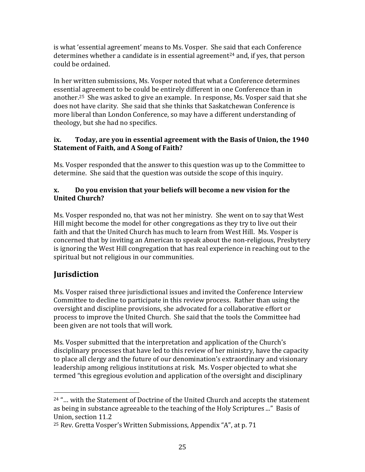is what 'essential agreement' means to Ms. Vosper. She said that each Conference determines whether a candidate is in essential agreement<sup>24</sup> and, if yes, that person could be ordained.

In her written submissions, Ms. Vosper noted that what a Conference determines essential agreement to be could be entirely different in one Conference than in another. <sup>25</sup> She was asked to give an example. In response, Ms. Vosper said that she does not have clarity. She said that she thinks that Saskatchewan Conference is more liberal than London Conference, so may have a different understanding of theology, but she had no specifics.

#### **ix. Today, are you in essential agreement with the Basis of Union, the 1940 Statement of Faith, and A Song of Faith?**

Ms. Vosper responded that the answer to this question was up to the Committee to determine. She said that the question was outside the scope of this inquiry.

#### **x. Do you envision that your beliefs will become a new vision for the United Church?**

Ms. Vosper responded no, that was not her ministry. She went on to say that West Hill might become the model for other congregations as they try to live out their faith and that the United Church has much to learn from West Hill. Ms. Vosper is concerned that by inviting an American to speak about the non-religious, Presbytery is ignoring the West Hill congregation that has real experience in reaching out to the spiritual but not religious in our communities.

## **Jurisdiction**

 $\overline{\phantom{a}}$ 

Ms. Vosper raised three jurisdictional issues and invited the Conference Interview Committee to decline to participate in this review process. Rather than using the oversight and discipline provisions, she advocated for a collaborative effort or process to improve the United Church. She said that the tools the Committee had been given are not tools that will work.

Ms. Vosper submitted that the interpretation and application of the Church's disciplinary processes that have led to this review of her ministry, have the capacity to place all clergy and the future of our denomination's extraordinary and visionary leadership among religious institutions at risk. Ms. Vosper objected to what she termed "this egregious evolution and application of the oversight and disciplinary

<sup>24</sup> "… with the Statement of Doctrine of the United Church and accepts the statement as being in substance agreeable to the teaching of the Holy Scriptures ..." Basis of Union, section 11.2

<sup>25</sup> Rev. Gretta Vosper's Written Submissions, Appendix "A", at p. 71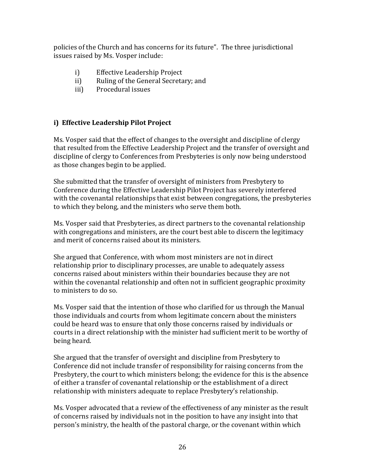policies of the Church and has concerns for its future". The three jurisdictional issues raised by Ms. Vosper include:

- i) Effective Leadership Project
- ii) Ruling of the General Secretary; and
- iii) Procedural issues

## **i) Effective Leadership Pilot Project**

Ms. Vosper said that the effect of changes to the oversight and discipline of clergy that resulted from the Effective Leadership Project and the transfer of oversight and discipline of clergy to Conferences from Presbyteries is only now being understood as those changes begin to be applied.

She submitted that the transfer of oversight of ministers from Presbytery to Conference during the Effective Leadership Pilot Project has severely interfered with the covenantal relationships that exist between congregations, the presbyteries to which they belong, and the ministers who serve them both.

Ms. Vosper said that Presbyteries, as direct partners to the covenantal relationship with congregations and ministers, are the court best able to discern the legitimacy and merit of concerns raised about its ministers.

She argued that Conference, with whom most ministers are not in direct relationship prior to disciplinary processes, are unable to adequately assess concerns raised about ministers within their boundaries because they are not within the covenantal relationship and often not in sufficient geographic proximity to ministers to do so.

Ms. Vosper said that the intention of those who clarified for us through the Manual those individuals and courts from whom legitimate concern about the ministers could be heard was to ensure that only those concerns raised by individuals or courts in a direct relationship with the minister had sufficient merit to be worthy of being heard.

She argued that the transfer of oversight and discipline from Presbytery to Conference did not include transfer of responsibility for raising concerns from the Presbytery, the court to which ministers belong; the evidence for this is the absence of either a transfer of covenantal relationship or the establishment of a direct relationship with ministers adequate to replace Presbytery's relationship.

Ms. Vosper advocated that a review of the effectiveness of any minister as the result of concerns raised by individuals not in the position to have any insight into that person's ministry, the health of the pastoral charge, or the covenant within which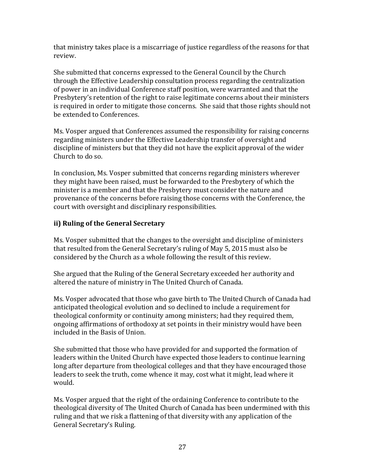that ministry takes place is a miscarriage of justice regardless of the reasons for that review.

She submitted that concerns expressed to the General Council by the Church through the Effective Leadership consultation process regarding the centralization of power in an individual Conference staff position, were warranted and that the Presbytery's retention of the right to raise legitimate concerns about their ministers is required in order to mitigate those concerns. She said that those rights should not be extended to Conferences.

Ms. Vosper argued that Conferences assumed the responsibility for raising concerns regarding ministers under the Effective Leadership transfer of oversight and discipline of ministers but that they did not have the explicit approval of the wider Church to do so.

In conclusion, Ms. Vosper submitted that concerns regarding ministers wherever they might have been raised, must be forwarded to the Presbytery of which the minister is a member and that the Presbytery must consider the nature and provenance of the concerns before raising those concerns with the Conference, the court with oversight and disciplinary responsibilities.

### **ii) Ruling of the General Secretary**

Ms. Vosper submitted that the changes to the oversight and discipline of ministers that resulted from the General Secretary's ruling of May 5, 2015 must also be considered by the Church as a whole following the result of this review.

She argued that the Ruling of the General Secretary exceeded her authority and altered the nature of ministry in The United Church of Canada.

Ms. Vosper advocated that those who gave birth to The United Church of Canada had anticipated theological evolution and so declined to include a requirement for theological conformity or continuity among ministers; had they required them, ongoing affirmations of orthodoxy at set points in their ministry would have been included in the Basis of Union.

She submitted that those who have provided for and supported the formation of leaders within the United Church have expected those leaders to continue learning long after departure from theological colleges and that they have encouraged those leaders to seek the truth, come whence it may, cost what it might, lead where it would.

Ms. Vosper argued that the right of the ordaining Conference to contribute to the theological diversity of The United Church of Canada has been undermined with this ruling and that we risk a flattening of that diversity with any application of the General Secretary's Ruling.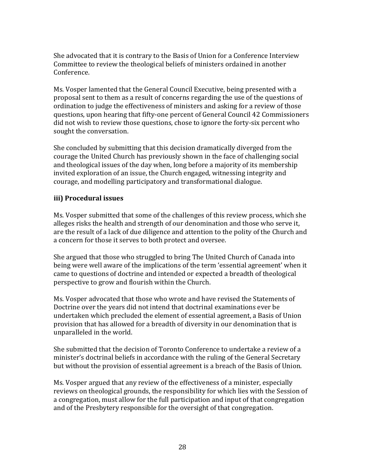She advocated that it is contrary to the Basis of Union for a Conference Interview Committee to review the theological beliefs of ministers ordained in another Conference.

Ms. Vosper lamented that the General Council Executive, being presented with a proposal sent to them as a result of concerns regarding the use of the questions of ordination to judge the effectiveness of ministers and asking for a review of those questions, upon hearing that fifty-one percent of General Council 42 Commissioners did not wish to review those questions, chose to ignore the forty-six percent who sought the conversation.

She concluded by submitting that this decision dramatically diverged from the courage the United Church has previously shown in the face of challenging social and theological issues of the day when, long before a majority of its membership invited exploration of an issue, the Church engaged, witnessing integrity and courage, and modelling participatory and transformational dialogue.

#### **iii) Procedural issues**

Ms. Vosper submitted that some of the challenges of this review process, which she alleges risks the health and strength of our denomination and those who serve it, are the result of a lack of due diligence and attention to the polity of the Church and a concern for those it serves to both protect and oversee.

She argued that those who struggled to bring The United Church of Canada into being were well aware of the implications of the term 'essential agreement' when it came to questions of doctrine and intended or expected a breadth of theological perspective to grow and flourish within the Church.

Ms. Vosper advocated that those who wrote and have revised the Statements of Doctrine over the years did not intend that doctrinal examinations ever be undertaken which precluded the element of essential agreement, a Basis of Union provision that has allowed for a breadth of diversity in our denomination that is unparalleled in the world.

She submitted that the decision of Toronto Conference to undertake a review of a minister's doctrinal beliefs in accordance with the ruling of the General Secretary but without the provision of essential agreement is a breach of the Basis of Union.

Ms. Vosper argued that any review of the effectiveness of a minister, especially reviews on theological grounds, the responsibility for which lies with the Session of a congregation, must allow for the full participation and input of that congregation and of the Presbytery responsible for the oversight of that congregation.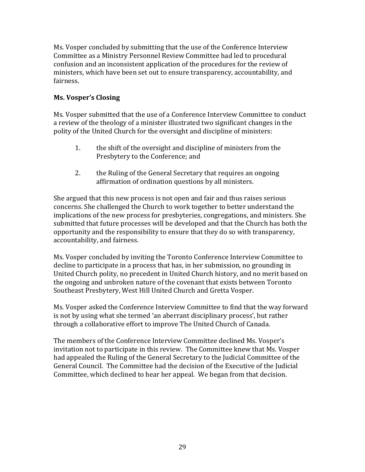Ms. Vosper concluded by submitting that the use of the Conference Interview Committee as a Ministry Personnel Review Committee had led to procedural confusion and an inconsistent application of the procedures for the review of ministers, which have been set out to ensure transparency, accountability, and fairness.

#### **Ms. Vosper's Closing**

Ms. Vosper submitted that the use of a Conference Interview Committee to conduct a review of the theology of a minister illustrated two significant changes in the polity of the United Church for the oversight and discipline of ministers:

- 1. the shift of the oversight and discipline of ministers from the Presbytery to the Conference; and
- 2. the Ruling of the General Secretary that requires an ongoing affirmation of ordination questions by all ministers.

She argued that this new process is not open and fair and thus raises serious concerns. She challenged the Church to work together to better understand the implications of the new process for presbyteries, congregations, and ministers. She submitted that future processes will be developed and that the Church has both the opportunity and the responsibility to ensure that they do so with transparency, accountability, and fairness.

Ms. Vosper concluded by inviting the Toronto Conference Interview Committee to decline to participate in a process that has, in her submission, no grounding in United Church polity, no precedent in United Church history, and no merit based on the ongoing and unbroken nature of the covenant that exists between Toronto Southeast Presbytery, West Hill United Church and Gretta Vosper.

Ms. Vosper asked the Conference Interview Committee to find that the way forward is not by using what she termed 'an aberrant disciplinary process', but rather through a collaborative effort to improve The United Church of Canada.

The members of the Conference Interview Committee declined Ms. Vosper's invitation not to participate in this review. The Committee knew that Ms. Vosper had appealed the Ruling of the General Secretary to the Judicial Committee of the General Council. The Committee had the decision of the Executive of the Judicial Committee, which declined to hear her appeal. We began from that decision.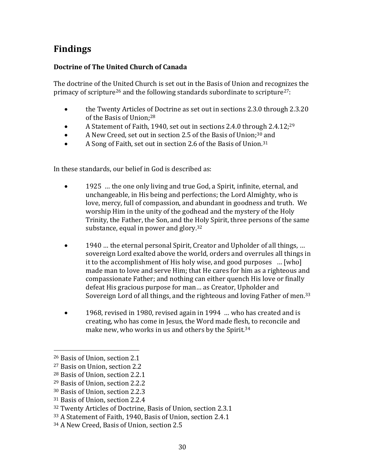# **Findings**

## **Doctrine of The United Church of Canada**

The doctrine of the United Church is set out in the Basis of Union and recognizes the primacy of scripture<sup>26</sup> and the following standards subordinate to scripture<sup>27</sup>:

- the Twenty Articles of Doctrine as set out in sections 2.3.0 through 2.3.20 of the Basis of Union;<sup>28</sup>
- A Statement of Faith, 1940, set out in sections 2.4.0 through 2.4.12;<sup>29</sup>
- A New Creed, set out in section 2.5 of the Basis of Union;<sup>30</sup> and
- A Song of Faith, set out in section 2.6 of the Basis of Union.<sup>31</sup>

In these standards, our belief in God is described as:

- 1925 … the one only living and true God, a Spirit, infinite, eternal, and unchangeable, in His being and perfections; the Lord Almighty, who is love, mercy, full of compassion, and abundant in goodness and truth. We worship Him in the unity of the godhead and the mystery of the Holy Trinity, the Father, the Son, and the Holy Spirit, three persons of the same substance, equal in power and glory.<sup>32</sup>
- 1940 … the eternal personal Spirit, Creator and Upholder of all things, ... sovereign Lord exalted above the world, orders and overrules all things in it to the accomplishment of His holy wise, and good purposes … [who] made man to love and serve Him; that He cares for him as a righteous and compassionate Father; and nothing can either quench His love or finally defeat His gracious purpose for man… as Creator, Upholder and Sovereign Lord of all things, and the righteous and loving Father of men.<sup>33</sup>
- 1968, revised in 1980, revised again in 1994 ... who has created and is creating, who has come in Jesus, the Word made flesh, to reconcile and make new, who works in us and others by the Spirit.<sup>34</sup>

 $\overline{\phantom{a}}$ 

<sup>26</sup> Basis of Union, section 2.1

<sup>27</sup> Basis on Union, section 2.2

<sup>28</sup> Basis of Union, section 2.2.1

<sup>29</sup> Basis of Union, section 2.2.2

<sup>30</sup> Basis of Union, section 2.2.3

<sup>31</sup> Basis of Union, section 2.2.4

<sup>32</sup> Twenty Articles of Doctrine, Basis of Union, section 2.3.1

<sup>33</sup> A Statement of Faith, 1940, Basis of Union, section 2.4.1

<sup>34</sup> A New Creed, Basis of Union, section 2.5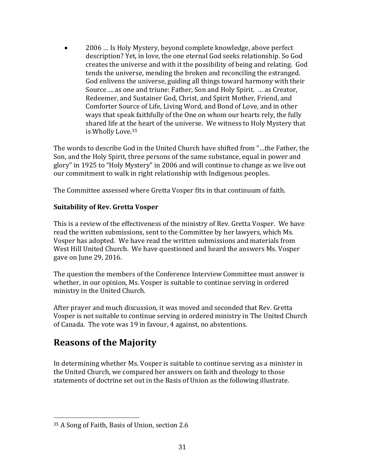2006 … Is Holy Mystery, beyond complete knowledge, above perfect description? Yet, in love, the one eternal God seeks relationship. So God creates the universe and with it the possibility of being and relating. God tends the universe, mending the broken and reconciling the estranged. God enlivens the universe, guiding all things toward harmony with their Source…. as one and triune: Father, Son and Holy Spirit. … as Creator, Redeemer, and Sustainer God, Christ, and Spirit Mother, Friend, and Comforter Source of Life, Living Word, and Bond of Love, and in other ways that speak faithfully of the One on whom our hearts rely, the fully shared life at the heart of the universe. We witness to Holy Mystery that is Wholly Love.<sup>35</sup>

The words to describe God in the United Church have shifted from "…the Father, the Son, and the Holy Spirit, three persons of the same substance, equal in power and glory" in 1925 to "Holy Mystery" in 2006 and will continue to change as we live out our commitment to walk in right relationship with Indigenous peoples.

The Committee assessed where Gretta Vosper fits in that continuum of faith.

#### **Suitability of Rev. Gretta Vosper**

This is a review of the effectiveness of the ministry of Rev. Gretta Vosper. We have read the written submissions, sent to the Committee by her lawyers, which Ms. Vosper has adopted. We have read the written submissions and materials from West Hill United Church. We have questioned and heard the answers Ms. Vosper gave on June 29, 2016.

The question the members of the Conference Interview Committee must answer is whether, in our opinion, Ms. Vosper is suitable to continue serving in ordered ministry in the United Church.

After prayer and much discussion, it was moved and seconded that Rev. Gretta Vosper is not suitable to continue serving in ordered ministry in The United Church of Canada. The vote was 19 in favour, 4 against, no abstentions.

# **Reasons of the Majority**

l

In determining whether Ms. Vosper is suitable to continue serving as a minister in the United Church, we compared her answers on faith and theology to those statements of doctrine set out in the Basis of Union as the following illustrate.

<sup>35</sup> A Song of Faith, Basis of Union, section 2.6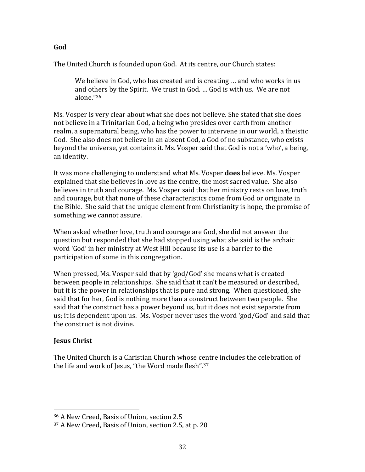The United Church is founded upon God. At its centre, our Church states:

We believe in God, who has created and is creating … and who works in us and others by the Spirit. We trust in God. … God is with us. We are not alone."<sup>36</sup>

Ms. Vosper is very clear about what she does not believe. She stated that she does not believe in a Trinitarian God, a being who presides over earth from another realm, a supernatural being, who has the power to intervene in our world, a theistic God. She also does not believe in an absent God, a God of no substance, who exists beyond the universe, yet contains it. Ms. Vosper said that God is not a 'who', a being, an identity.

It was more challenging to understand what Ms. Vosper **does** believe. Ms. Vosper explained that she believes in love as the centre, the most sacred value. She also believes in truth and courage. Ms. Vosper said that her ministry rests on love, truth and courage, but that none of these characteristics come from God or originate in the Bible. She said that the unique element from Christianity is hope, the promise of something we cannot assure.

When asked whether love, truth and courage are God, she did not answer the question but responded that she had stopped using what she said is the archaic word 'God' in her ministry at West Hill because its use is a barrier to the participation of some in this congregation.

When pressed, Ms. Vosper said that by 'god/God' she means what is created between people in relationships. She said that it can't be measured or described, but it is the power in relationships that is pure and strong. When questioned, she said that for her, God is nothing more than a construct between two people. She said that the construct has a power beyond us, but it does not exist separate from us; it is dependent upon us. Ms. Vosper never uses the word 'god/God' and said that the construct is not divine.

#### **Jesus Christ**

 $\overline{\phantom{a}}$ 

The United Church is a Christian Church whose centre includes the celebration of the life and work of Jesus, "the Word made flesh".<sup>37</sup>

#### **God**

<sup>36</sup> A New Creed, Basis of Union, section 2.5

<sup>37</sup> A New Creed, Basis of Union, section 2.5, at p. 20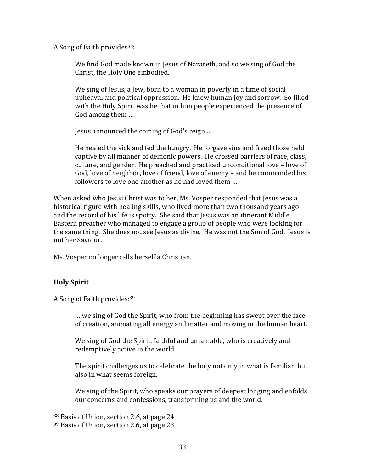A Song of Faith provides<sup>38</sup>:

We find God made known in Jesus of Nazareth, and so we sing of God the Christ, the Holy One embodied.

We sing of Jesus, a Jew, born to a woman in poverty in a time of social upheaval and political oppression. He knew human joy and sorrow. So filled with the Holy Spirit was he that in him people experienced the presence of God among them …

Jesus announced the coming of God's reign …

He healed the sick and fed the hungry. He forgave sins and freed those held captive by all manner of demonic powers. He crossed barriers of race, class, culture, and gender. He preached and practiced unconditional love – love of God, love of neighbor, love of friend, love of enemy – and he commanded his followers to love one another as he had loved them …

When asked who Jesus Christ was to her, Ms. Vosper responded that Jesus was a historical figure with healing skills, who lived more than two thousand years ago and the record of his life is spotty. She said that Jesus was an itinerant Middle Eastern preacher who managed to engage a group of people who were looking for the same thing. She does not see Jesus as divine. He was not the Son of God. Jesus is not her Saviour.

Ms. Vosper no longer calls herself a Christian.

## **Holy Spirit**

 $\overline{\phantom{a}}$ 

A Song of Faith provides:<sup>39</sup>

… we sing of God the Spirit, who from the beginning has swept over the face of creation, animating all energy and matter and moving in the human heart.

We sing of God the Spirit, faithful and untamable, who is creatively and redemptively active in the world.

The spirit challenges us to celebrate the holy not only in what is familiar, but also in what seems foreign.

We sing of the Spirit, who speaks our prayers of deepest longing and enfolds our concerns and confessions, transforming us and the world.

<sup>38</sup> Basis of Union, section 2.6, at page 24

<sup>39</sup> Basis of Union, section 2.6, at page 23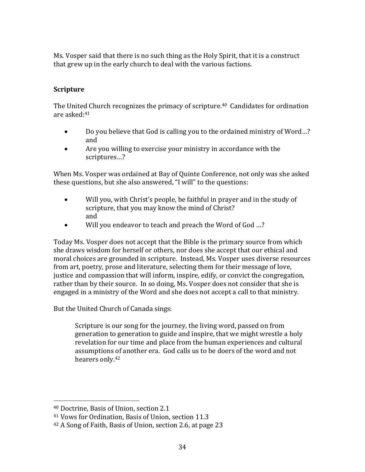Ms. Vosper said that there is no such thing as the Holy Spirit, that it is a construct that grew up in the early church to deal with the various factions.

### **Scripture**

The United Church recognizes the primacy of scripture.<sup>40</sup> Candidates for ordination are asked:<sup>41</sup>

- Do you believe that God is calling you to the ordained ministry of Word...? and
- Are you willing to exercise your ministry in accordance with the scriptures…?

When Ms. Vosper was ordained at Bay of Quinte Conference, not only was she asked these questions, but she also answered, "I will" to the questions:

- Will you, with Christ's people, be faithful in prayer and in the study of scripture, that you may know the mind of Christ? and
- Will you endeavor to teach and preach the Word of God …?

Today Ms. Vosper does not accept that the Bible is the primary source from which she draws wisdom for herself or others, nor does she accept that our ethical and moral choices are grounded in scripture. Instead, Ms. Vosper uses diverse resources from art, poetry, prose and literature, selecting them for their message of love, justice and compassion that will inform, inspire, edify, or convict the congregation, rather than by their source. In so doing, Ms. Vosper does not consider that she is engaged in a ministry of the Word and she does not accept a call to that ministry.

But the United Church of Canada sings:

Scripture is our song for the journey, the living word, passed on from generation to generation to guide and inspire, that we might wrestle a holy revelation for our time and place from the human experiences and cultural assumptions of another era. God calls us to be doers of the word and not hearers only.<sup>42</sup>

 $\overline{\phantom{a}}$ 

<sup>40</sup> Doctrine, Basis of Union, section 2.1

<sup>41</sup> Vows for Ordination, Basis of Union, section 11.3

<sup>42</sup> A Song of Faith, Basis of Union, section 2.6, at page 23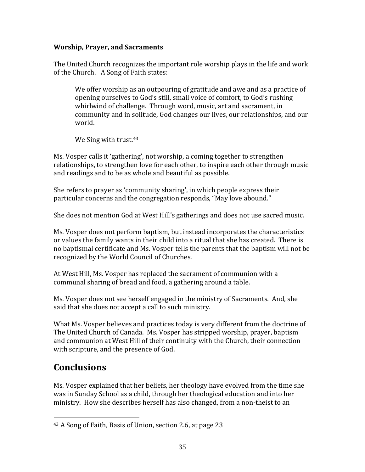#### **Worship, Prayer, and Sacraments**

The United Church recognizes the important role worship plays in the life and work of the Church. A Song of Faith states:

We offer worship as an outpouring of gratitude and awe and as a practice of opening ourselves to God's still, small voice of comfort, to God's rushing whirlwind of challenge. Through word, music, art and sacrament, in community and in solitude, God changes our lives, our relationships, and our world.

We Sing with trust.<sup>43</sup>

Ms. Vosper calls it 'gathering', not worship, a coming together to strengthen relationships, to strengthen love for each other, to inspire each other through music and readings and to be as whole and beautiful as possible.

She refers to prayer as 'community sharing', in which people express their particular concerns and the congregation responds, "May love abound."

She does not mention God at West Hill's gatherings and does not use sacred music.

Ms. Vosper does not perform baptism, but instead incorporates the characteristics or values the family wants in their child into a ritual that she has created. There is no baptismal certificate and Ms. Vosper tells the parents that the baptism will not be recognized by the World Council of Churches.

At West Hill, Ms. Vosper has replaced the sacrament of communion with a communal sharing of bread and food, a gathering around a table.

Ms. Vosper does not see herself engaged in the ministry of Sacraments. And, she said that she does not accept a call to such ministry.

What Ms. Vosper believes and practices today is very different from the doctrine of The United Church of Canada. Ms. Vosper has stripped worship, prayer, baptism and communion at West Hill of their continuity with the Church, their connection with scripture, and the presence of God.

# **Conclusions**

l

Ms. Vosper explained that her beliefs, her theology have evolved from the time she was in Sunday School as a child, through her theological education and into her ministry. How she describes herself has also changed, from a non-theist to an

<sup>43</sup> A Song of Faith, Basis of Union, section 2.6, at page 23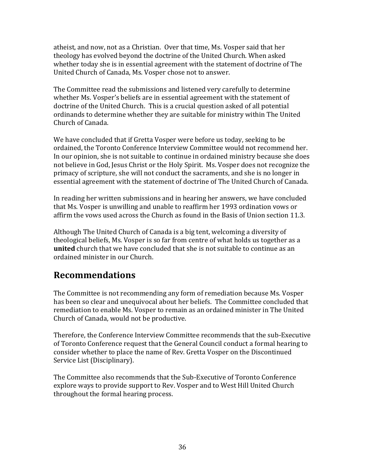atheist, and now, not as a Christian. Over that time, Ms. Vosper said that her theology has evolved beyond the doctrine of the United Church. When asked whether today she is in essential agreement with the statement of doctrine of The United Church of Canada, Ms. Vosper chose not to answer.

The Committee read the submissions and listened very carefully to determine whether Ms. Vosper's beliefs are in essential agreement with the statement of doctrine of the United Church. This is a crucial question asked of all potential ordinands to determine whether they are suitable for ministry within The United Church of Canada.

We have concluded that if Gretta Vosper were before us today, seeking to be ordained, the Toronto Conference Interview Committee would not recommend her. In our opinion, she is not suitable to continue in ordained ministry because she does not believe in God, Jesus Christ or the Holy Spirit. Ms. Vosper does not recognize the primacy of scripture, she will not conduct the sacraments, and she is no longer in essential agreement with the statement of doctrine of The United Church of Canada.

In reading her written submissions and in hearing her answers, we have concluded that Ms. Vosper is unwilling and unable to reaffirm her 1993 ordination vows or affirm the vows used across the Church as found in the Basis of Union section 11.3.

Although The United Church of Canada is a big tent, welcoming a diversity of theological beliefs, Ms. Vosper is so far from centre of what holds us together as a **united** church that we have concluded that she is not suitable to continue as an ordained minister in our Church.

# **Recommendations**

The Committee is not recommending any form of remediation because Ms. Vosper has been so clear and unequivocal about her beliefs. The Committee concluded that remediation to enable Ms. Vosper to remain as an ordained minister in The United Church of Canada, would not be productive.

Therefore, the Conference Interview Committee recommends that the sub-Executive of Toronto Conference request that the General Council conduct a formal hearing to consider whether to place the name of Rev. Gretta Vosper on the Discontinued Service List (Disciplinary).

The Committee also recommends that the Sub-Executive of Toronto Conference explore ways to provide support to Rev. Vosper and to West Hill United Church throughout the formal hearing process.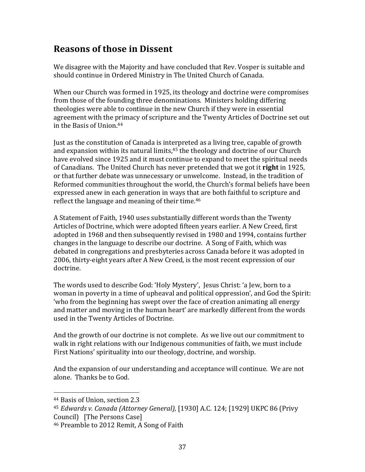# **Reasons of those in Dissent**

We disagree with the Majority and have concluded that Rev. Vosper is suitable and should continue in Ordered Ministry in The United Church of Canada.

When our Church was formed in 1925, its theology and doctrine were compromises from those of the founding three denominations. Ministers holding differing theologies were able to continue in the new Church if they were in essential agreement with the primacy of scripture and the Twenty Articles of Doctrine set out in the Basis of Union.<sup>44</sup>

Just as the constitution of Canada is interpreted as a living tree, capable of growth and expansion within its natural limits, $45$  the theology and doctrine of our Church have evolved since 1925 and it must continue to expand to meet the spiritual needs of Canadians. The United Church has never pretended that we got it **right** in 1925, or that further debate was unnecessary or unwelcome. Instead, in the tradition of Reformed communities throughout the world, the Church's formal beliefs have been expressed anew in each generation in ways that are both faithful to scripture and reflect the language and meaning of their time.<sup>46</sup>

A Statement of Faith, 1940 uses substantially different words than the Twenty Articles of Doctrine, which were adopted fifteen years earlier. A New Creed, first adopted in 1968 and then subsequently revised in 1980 and 1994, contains further changes in the language to describe our doctrine. A Song of Faith, which was debated in congregations and presbyteries across Canada before it was adopted in 2006, thirty-eight years after A New Creed, is the most recent expression of our doctrine.

The words used to describe God: 'Holy Mystery', Jesus Christ: 'a Jew, born to a woman in poverty in a time of upheaval and political oppression', and God the Spirit: 'who from the beginning has swept over the face of creation animating all energy and matter and moving in the human heart' are markedly different from the words used in the Twenty Articles of Doctrine.

And the growth of our doctrine is not complete. As we live out our commitment to walk in right relations with our Indigenous communities of faith, we must include First Nations' spirituality into our theology, doctrine, and worship.

And the expansion of our understanding and acceptance will continue. We are not alone. Thanks be to God.

 $\overline{\phantom{a}}$ 

<sup>45</sup> *Edwards v. Canada (Attorney General),* [1930] A.C. 124; [1929] UKPC 86 (Privy Council) [The Persons Case]

<sup>44</sup> Basis of Union, section 2.3

<sup>46</sup> Preamble to 2012 Remit, A Song of Faith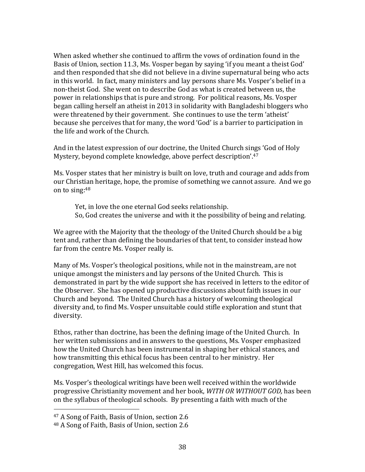When asked whether she continued to affirm the vows of ordination found in the Basis of Union, section 11.3, Ms. Vosper began by saying 'if you meant a theist God' and then responded that she did not believe in a divine supernatural being who acts in this world. In fact, many ministers and lay persons share Ms. Vosper's belief in a non-theist God. She went on to describe God as what is created between us, the power in relationships that is pure and strong. For political reasons, Ms. Vosper began calling herself an atheist in 2013 in solidarity with Bangladeshi bloggers who were threatened by their government. She continues to use the term 'atheist' because she perceives that for many, the word 'God' is a barrier to participation in the life and work of the Church.

And in the latest expression of our doctrine, the United Church sings 'God of Holy Mystery, beyond complete knowledge, above perfect description'.<sup>47</sup>

Ms. Vosper states that her ministry is built on love, truth and courage and adds from our Christian heritage, hope, the promise of something we cannot assure. And we go on to sing:<sup>48</sup>

Yet, in love the one eternal God seeks relationship. So, God creates the universe and with it the possibility of being and relating.

We agree with the Majority that the theology of the United Church should be a big tent and, rather than defining the boundaries of that tent, to consider instead how far from the centre Ms. Vosper really is.

Many of Ms. Vosper's theological positions, while not in the mainstream, are not unique amongst the ministers and lay persons of the United Church. This is demonstrated in part by the wide support she has received in letters to the editor of the Observer. She has opened up productive discussions about faith issues in our Church and beyond. The United Church has a history of welcoming theological diversity and, to find Ms. Vosper unsuitable could stifle exploration and stunt that diversity.

Ethos, rather than doctrine, has been the defining image of the United Church. In her written submissions and in answers to the questions, Ms. Vosper emphasized how the United Church has been instrumental in shaping her ethical stances, and how transmitting this ethical focus has been central to her ministry. Her congregation, West Hill, has welcomed this focus.

Ms. Vosper's theological writings have been well received within the worldwide progressive Christianity movement and her book, *WITH OR WITHOUT GOD,* has been on the syllabus of theological schools. By presenting a faith with much of the

 $\overline{\phantom{a}}$ 

<sup>47</sup> A Song of Faith, Basis of Union, section 2.6

<sup>48</sup> A Song of Faith, Basis of Union, section 2.6